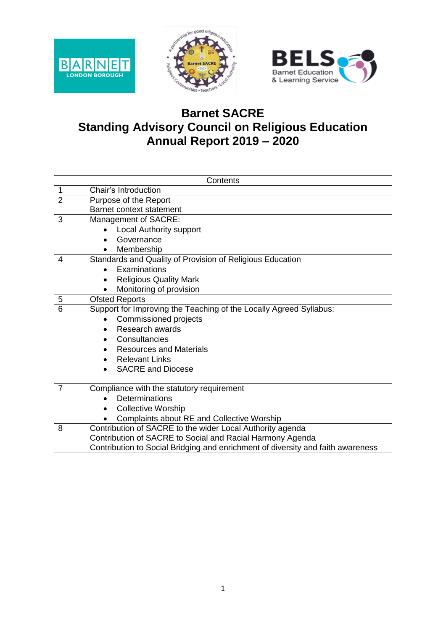





## **Barnet SACRE Standing Advisory Council on Religious Education Annual Report 2019 – 2020**

|                | Contents                                                                        |  |  |  |  |  |  |
|----------------|---------------------------------------------------------------------------------|--|--|--|--|--|--|
| 1              | Chair's Introduction                                                            |  |  |  |  |  |  |
| $\overline{2}$ | Purpose of the Report                                                           |  |  |  |  |  |  |
|                | <b>Barnet context statement</b>                                                 |  |  |  |  |  |  |
| 3              | Management of SACRE:                                                            |  |  |  |  |  |  |
|                | <b>Local Authority support</b>                                                  |  |  |  |  |  |  |
|                | Governance                                                                      |  |  |  |  |  |  |
|                | Membership                                                                      |  |  |  |  |  |  |
| 4              | Standards and Quality of Provision of Religious Education                       |  |  |  |  |  |  |
|                | Examinations                                                                    |  |  |  |  |  |  |
|                | <b>Religious Quality Mark</b>                                                   |  |  |  |  |  |  |
|                | Monitoring of provision<br>$\bullet$                                            |  |  |  |  |  |  |
| 5              | <b>Ofsted Reports</b>                                                           |  |  |  |  |  |  |
| 6              | Support for Improving the Teaching of the Locally Agreed Syllabus:              |  |  |  |  |  |  |
|                | <b>Commissioned projects</b>                                                    |  |  |  |  |  |  |
|                | Research awards<br>$\bullet$                                                    |  |  |  |  |  |  |
|                | Consultancies                                                                   |  |  |  |  |  |  |
|                | <b>Resources and Materials</b>                                                  |  |  |  |  |  |  |
|                | <b>Relevant Links</b><br>$\bullet$                                              |  |  |  |  |  |  |
|                | <b>SACRE and Diocese</b>                                                        |  |  |  |  |  |  |
|                |                                                                                 |  |  |  |  |  |  |
| $\overline{7}$ | Compliance with the statutory requirement                                       |  |  |  |  |  |  |
|                | Determinations                                                                  |  |  |  |  |  |  |
|                | <b>Collective Worship</b>                                                       |  |  |  |  |  |  |
|                | Complaints about RE and Collective Worship                                      |  |  |  |  |  |  |
| 8              | Contribution of SACRE to the wider Local Authority agenda                       |  |  |  |  |  |  |
|                | Contribution of SACRE to Social and Racial Harmony Agenda                       |  |  |  |  |  |  |
|                | Contribution to Social Bridging and enrichment of diversity and faith awareness |  |  |  |  |  |  |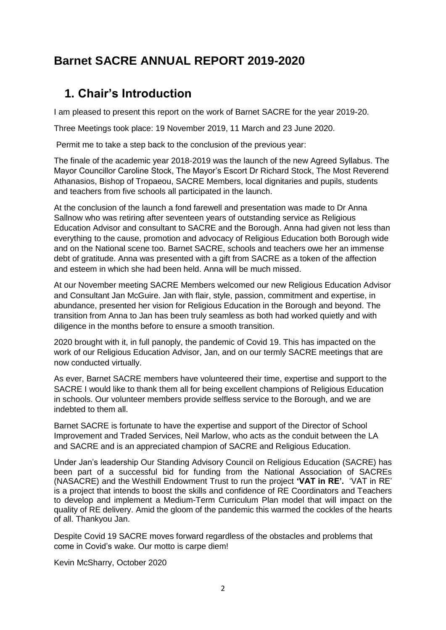## **Barnet SACRE ANNUAL REPORT 2019-2020**

## **1. Chair's Introduction**

I am pleased to present this report on the work of Barnet SACRE for the year 2019-20.

Three Meetings took place: 19 November 2019, 11 March and 23 June 2020.

Permit me to take a step back to the conclusion of the previous year:

The finale of the academic year 2018-2019 was the launch of the new Agreed Syllabus. The Mayor Councillor Caroline Stock, The Mayor's Escort Dr Richard Stock, The Most Reverend Athanasios, Bishop of Tropaeou, SACRE Members, local dignitaries and pupils, students and teachers from five schools all participated in the launch.

At the conclusion of the launch a fond farewell and presentation was made to Dr Anna Sallnow who was retiring after seventeen years of outstanding service as Religious Education Advisor and consultant to SACRE and the Borough. Anna had given not less than everything to the cause, promotion and advocacy of Religious Education both Borough wide and on the National scene too. Barnet SACRE, schools and teachers owe her an immense debt of gratitude. Anna was presented with a gift from SACRE as a token of the affection and esteem in which she had been held. Anna will be much missed.

At our November meeting SACRE Members welcomed our new Religious Education Advisor and Consultant Jan McGuire. Jan with flair, style, passion, commitment and expertise, in abundance, presented her vision for Religious Education in the Borough and beyond. The transition from Anna to Jan has been truly seamless as both had worked quietly and with diligence in the months before to ensure a smooth transition.

2020 brought with it, in full panoply, the pandemic of Covid 19. This has impacted on the work of our Religious Education Advisor, Jan, and on our termly SACRE meetings that are now conducted virtually.

As ever, Barnet SACRE members have volunteered their time, expertise and support to the SACRE I would like to thank them all for being excellent champions of Religious Education in schools. Our volunteer members provide selfless service to the Borough, and we are indebted to them all.

Barnet SACRE is fortunate to have the expertise and support of the Director of School Improvement and Traded Services, Neil Marlow, who acts as the conduit between the LA and SACRE and is an appreciated champion of SACRE and Religious Education.

Under Jan's leadership Our Standing Advisory Council on Religious Education (SACRE) has been part of a successful bid for funding from the National Association of SACREs (NASACRE) and the Westhill Endowment Trust to run the project **'VAT in RE'.** 'VAT in RE' is a project that intends to boost the skills and confidence of RE Coordinators and Teachers to develop and implement a Medium-Term Curriculum Plan model that will impact on the quality of RE delivery. Amid the gloom of the pandemic this warmed the cockles of the hearts of all. Thankyou Jan.

Despite Covid 19 SACRE moves forward regardless of the obstacles and problems that come in Covid's wake. Our motto is carpe diem!

Kevin McSharry, October 2020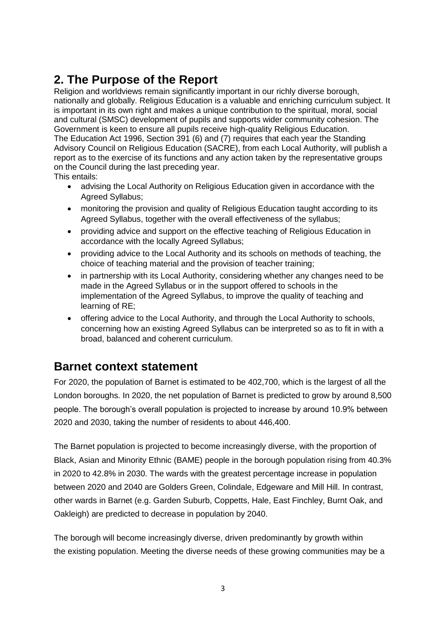# **2. The Purpose of the Report**

Religion and worldviews remain significantly important in our richly diverse borough, nationally and globally. Religious Education is a valuable and enriching curriculum subject. It is important in its own right and makes a unique contribution to the spiritual, moral, social and cultural (SMSC) development of pupils and supports wider community cohesion. The Government is keen to ensure all pupils receive high-quality Religious Education. The Education Act 1996, Section 391 (6) and (7) requires that each year the Standing Advisory Council on Religious Education (SACRE), from each Local Authority, will publish a report as to the exercise of its functions and any action taken by the representative groups on the Council during the last preceding year.

This entails:

- advising the Local Authority on Religious Education given in accordance with the Agreed Syllabus;
- monitoring the provision and quality of Religious Education taught according to its Agreed Syllabus, together with the overall effectiveness of the syllabus;
- providing advice and support on the effective teaching of Religious Education in accordance with the locally Agreed Syllabus;
- providing advice to the Local Authority and its schools on methods of teaching, the choice of teaching material and the provision of teacher training;
- in partnership with its Local Authority, considering whether any changes need to be made in the Agreed Syllabus or in the support offered to schools in the implementation of the Agreed Syllabus, to improve the quality of teaching and learning of RE;
- offering advice to the Local Authority, and through the Local Authority to schools, concerning how an existing Agreed Syllabus can be interpreted so as to fit in with a broad, balanced and coherent curriculum.

## **Barnet context statement**

For 2020, the population of Barnet is estimated to be 402,700, which is the largest of all the London boroughs. In 2020, the net population of Barnet is predicted to grow by around 8,500 people. The borough's overall population is projected to increase by around 10.9% between 2020 and 2030, taking the number of residents to about 446,400.

The Barnet population is projected to become increasingly diverse, with the proportion of Black, Asian and Minority Ethnic (BAME) people in the borough population rising from 40.3% in 2020 to 42.8% in 2030. The wards with the greatest percentage increase in population between 2020 and 2040 are Golders Green, Colindale, Edgeware and Mill Hill. In contrast, other wards in Barnet (e.g. Garden Suburb, Coppetts, Hale, East Finchley, Burnt Oak, and Oakleigh) are predicted to decrease in population by 2040.

The borough will become increasingly diverse, driven predominantly by growth within the existing population. Meeting the diverse needs of these growing communities may be a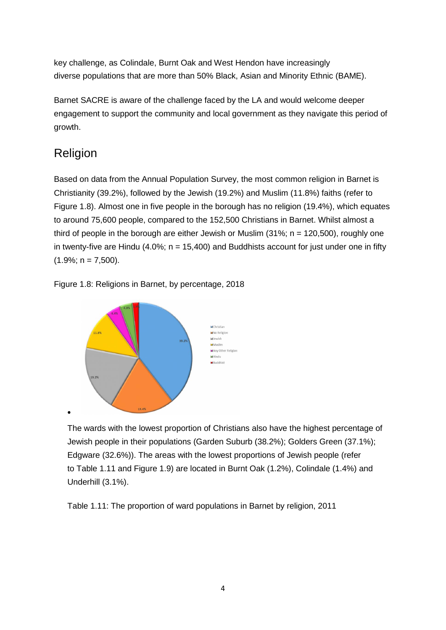key challenge, as Colindale, Burnt Oak and West Hendon have increasingly diverse populations that are more than 50% Black, Asian and Minority Ethnic (BAME).

Barnet SACRE is aware of the challenge faced by the LA and would welcome deeper engagement to support the community and local government as they navigate this period of growth.

## Religion

 $\bullet$ 

Based on data from the Annual Population Survey, the most common religion in Barnet is Christianity (39.2%), followed by the Jewish (19.2%) and Muslim (11.8%) faiths (refer to Figure 1.8). Almost one in five people in the borough has no religion (19.4%), which equates to around 75,600 people, compared to the 152,500 Christians in Barnet. Whilst almost a third of people in the borough are either Jewish or Muslim  $(31\%; n = 120,500)$ , roughly one in twenty-five are Hindu (4.0%;  $n = 15,400$ ) and Buddhists account for just under one in fifty  $(1.9\%; n = 7,500).$ 

Figure 1.8: Religions in Barnet, by percentage, 2018



The wards with the lowest proportion of Christians also have the highest percentage of Jewish people in their populations (Garden Suburb (38.2%); Golders Green (37.1%); Edgware (32.6%)). The areas with the lowest proportions of Jewish people (refer to Table 1.11 and Figure 1.9) are located in Burnt Oak (1.2%), Colindale (1.4%) and Underhill (3.1%).

Table 1.11: The proportion of ward populations in Barnet by religion, 2011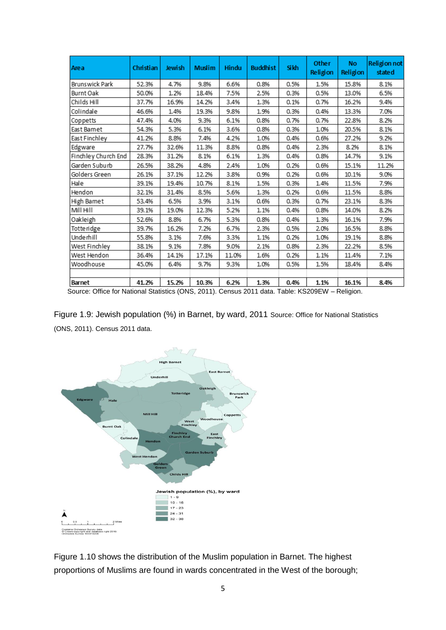| Area                | Christian | Jewish | <b>Muslim</b> | Hindu | <b>Buddhist</b> | Sikh | Other<br>Religion | <b>No</b><br>Religion | Religion not<br>state d |
|---------------------|-----------|--------|---------------|-------|-----------------|------|-------------------|-----------------------|-------------------------|
| Brunswick Park      | 52.3%     | 4.7%   | 9.8%          | 6.6%  | 0.8%            | 0.5% | 1.5%              | 15.8%                 | 8.1%                    |
| Burnt Oak           | 50.0%     | 1.2%   | 18.4%         | 7.5%  | 2.5%            | 0.3% | 0.5%              | 13.0%                 | 6.5%                    |
| Childs Hill         | 37.7%     | 16.9%  | 14.2%         | 3.4%  | 1.3%            | 0.1% | 0.7%              | 16.2%                 | 9.4%                    |
| Colindale           | 46.6%     | 1.4%   | 19.3%         | 9.8%  | 1.9%            | 0.3% | 0.4%              | 13.3%                 | 7.0%                    |
| Coppetts            | 47.4%     | 4.0%   | 9.3%          | 6.1%  | 0.8%            | 0.7% | 0.7%              | 22.8%                 | 8.2%                    |
| East Bamet          | 54.3%     | 5.3%   | 6.1%          | 3.6%  | 0.8%            | 0.3% | 1.0%              | 20.5%                 | 8.1%                    |
| East Finchley       | 41.2%     | 8.8%   | 7.4%          | 4.2%  | 1.0%            | 0.4% | 0.6%              | 27.2%                 | 9.2%                    |
| Edgware             | 27.7%     | 32.6%  | 11.3%         | 8.8%  | 0.8%            | 0.4% | 2.3%              | 8.2%                  | 8.1%                    |
| Finchley Church End | 28.3%     | 31.2%  | 8.1%          | 6.1%  | 1.3%            | 0.4% | 0.8%              | 14.7%                 | 9.1%                    |
| Garden Suburb       | 26.5%     | 38.2%  | 4.8%          | 2.4%  | 1.0%            | 0.2% | 0.6%              | 15.1%                 | 11.2%                   |
| Golders Green       | 26.1%     | 37.1%  | 12.2%         | 3.8%  | 0.9%            | 0.2% | 0.6%              | 10.1%                 | 9.0%                    |
| Hale                | 39.1%     | 19.4%  | 10.7%         | 8.1%  | 1.5%            | 0.3% | 1.4%              | 11.5%                 | 7.9%                    |
| Hendon              | 32.1%     | 31.4%  | 8.5%          | 5.6%  | 1.3%            | 0.2% | 0.6%              | 11.5%                 | 8.8%                    |
| High Bamet          | 53.4%     | 6.5%   | 3.9%          | 3.1%  | 0.6%            | 0.3% | 0.7%              | 23.1%                 | 8.3%                    |
| Mill Hill           | 39.1%     | 19.0%  | 12.3%         | 5.2%  | 1.1%            | 0.4% | 0.8%              | 14.0%                 | 8.2%                    |
| Oakleigh            | 52.6%     | 8.8%   | 6.7%          | 5.3%  | 0.8%            | 0.4% | 1.3%              | 16.1%                 | 7.9%                    |
| <b>Totteridge</b>   | 39.7%     | 16.2%  | 7.2%          | 6.7%  | 2.3%            | 0.5% | 2.0%              | 16.5%                 | 8.8%                    |
| <b>Underhill</b>    | 55.8%     | 3.1%   | 7.6%          | 3.3%  | 1.1%            | 0.2% | 1.0%              | 19.1%                 | 8.8%                    |
| West Finchley       | 38.1%     | 9.1%   | 7.8%          | 9.0%  | 2.1%            | 0.8% | 2.3%              | 22.2%                 | 8.5%                    |
| West Hendon         | 36.4%     | 14.1%  | 17.1%         | 11.0% | 1.6%            | 0.2% | 1.1%              | 11.4%                 | 7.1%                    |
| Woodhouse           | 45.0%     | 6.4%   | 9.7%          | 9.3%  | 1.0%            | 0.5% | 1.5%              | 18.4%                 | 8.4%                    |
|                     |           |        |               |       |                 |      |                   |                       |                         |
| Barnet              | 41.2%     | 15.2%  | 10.3%         | 6.2%  | 1.3%            | 0.4% | 1.1%              | 16.1%                 | 8.4%                    |

Source: Office for National Statistics (ONS, 2011). Census 2011 data. Table: KS209EW – Religion.

Figure 1.9: Jewish population (%) in Barnet, by ward, 2011 Source: Office for National Statistics (ONS, 2011). Census 2011 data.



Figure 1.10 shows the distribution of the Muslim population in Barnet. The highest proportions of Muslims are found in wards concentrated in the West of the borough;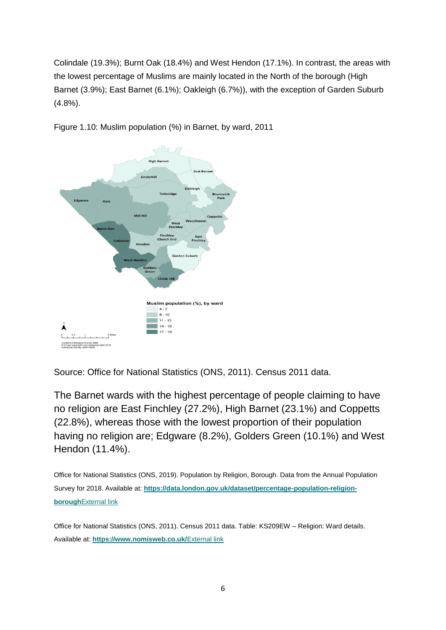Colindale (19.3%); Burnt Oak (18.4%) and West Hendon (17.1%). In contrast, the areas with the lowest percentage of Muslims are mainly located in the North of the borough (High Barnet (3.9%); East Barnet (6.1%); Oakleigh (6.7%)), with the exception of Garden Suburb (4.8%).



Figure 1.10: Muslim population (%) in Barnet, by ward, 2011

Source: Office for National Statistics (ONS, 2011). Census 2011 data.

The Barnet wards with the highest percentage of people claiming to have no religion are East Finchley (27.2%), High Barnet (23.1%) and Coppetts (22.8%), whereas those with the lowest proportion of their population having no religion are; Edgware (8.2%), Golders Green (10.1%) and West Hendon (11.4%).

Office for National Statistics (ONS, 2019). Population by Religion, Borough. Data from the Annual Population Survey for 2018. Available at: **[https://data.london.gov.uk/dataset/percentage-population-religion](https://data.london.gov.uk/dataset/percentage-population-religion-borough)borough**[External link](https://data.london.gov.uk/dataset/percentage-population-religion-borough)

Office for National Statistics (ONS, 2011). Census 2011 data. Table: KS209EW – Religion: Ward details. Available at: **<https://www.nomisweb.co.uk/>**External link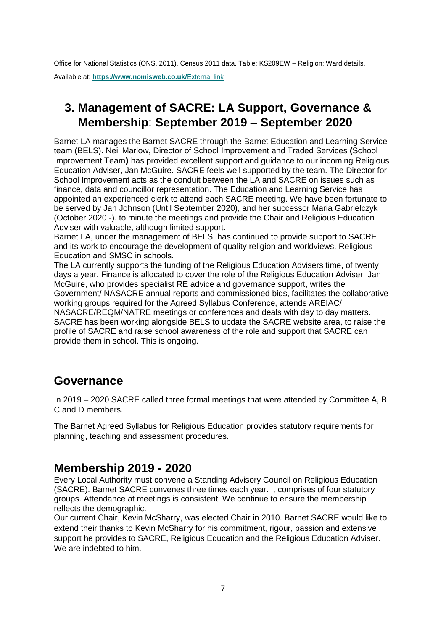Office for National Statistics (ONS, 2011). Census 2011 data. Table: KS209EW – Religion: Ward details. Available at: **<https://www.nomisweb.co.uk/>**External link

# **3. Management of SACRE: LA Support, Governance & Membership**: **September 2019 – September 2020**

Barnet LA manages the Barnet SACRE through the Barnet Education and Learning Service team (BELS). Neil Marlow, Director of School Improvement and Traded Services **(**School Improvement Team**)** has provided excellent support and guidance to our incoming Religious Education Adviser, Jan McGuire. SACRE feels well supported by the team. The Director for School Improvement acts as the conduit between the LA and SACRE on issues such as finance, data and councillor representation. The Education and Learning Service has appointed an experienced clerk to attend each SACRE meeting. We have been fortunate to be served by Jan Johnson (Until September 2020), and her successor Maria Gabrielczyk (October 2020 -). to minute the meetings and provide the Chair and Religious Education Adviser with valuable, although limited support.

Barnet LA, under the management of BELS, has continued to provide support to SACRE and its work to encourage the development of quality religion and worldviews, Religious Education and SMSC in schools.

The LA currently supports the funding of the Religious Education Advisers time, of twenty days a year. Finance is allocated to cover the role of the Religious Education Adviser, Jan McGuire, who provides specialist RE advice and governance support, writes the Government/ NASACRE annual reports and commissioned bids, facilitates the collaborative working groups required for the Agreed Syllabus Conference, attends AREIAC/ NASACRE/REQM/NATRE meetings or conferences and deals with day to day matters. SACRE has been working alongside BELS to update the SACRE website area, to raise the profile of SACRE and raise school awareness of the role and support that SACRE can provide them in school. This is ongoing.

### **Governance**

In 2019 – 2020 SACRE called three formal meetings that were attended by Committee A, B, C and D members.

The Barnet Agreed Syllabus for Religious Education provides statutory requirements for planning, teaching and assessment procedures.

### **Membership 2019 - 2020**

Every Local Authority must convene a Standing Advisory Council on Religious Education (SACRE). Barnet SACRE convenes three times each year. It comprises of four statutory groups. Attendance at meetings is consistent. We continue to ensure the membership reflects the demographic.

Our current Chair, Kevin McSharry, was elected Chair in 2010. Barnet SACRE would like to extend their thanks to Kevin McSharry for his commitment, rigour, passion and extensive support he provides to SACRE, Religious Education and the Religious Education Adviser. We are indebted to him.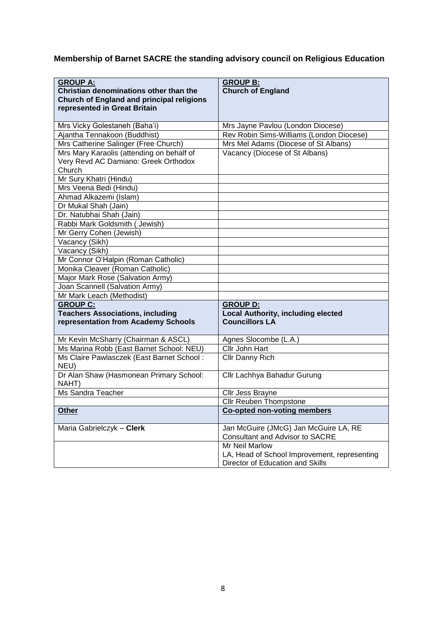## **Membership of Barnet SACRE the standing advisory council on Religious Education**

| <b>GROUP A:</b>                                                                   | <b>GROUP B:</b>                                                               |
|-----------------------------------------------------------------------------------|-------------------------------------------------------------------------------|
| Christian denominations other than the                                            | <b>Church of England</b>                                                      |
| <b>Church of England and principal religions</b>                                  |                                                                               |
| represented in Great Britain                                                      |                                                                               |
|                                                                                   |                                                                               |
| Mrs Vicky Golestaneh (Baha'i)<br>Ajantha Tennakoon (Buddhist)                     | Mrs Jayne Pavlou (London Diocese)<br>Rev Robin Sims-Williams (London Diocese) |
|                                                                                   | Mrs Mel Adams (Diocese of St Albans)                                          |
| Mrs Catherine Salinger (Free Church)                                              |                                                                               |
| Mrs Mary Karaolis (attending on behalf of<br>Very Revd AC Damiano: Greek Orthodox | Vacancy (Diocese of St Albans)                                                |
| Church                                                                            |                                                                               |
| Mr Sury Khatri (Hindu)                                                            |                                                                               |
| Mrs Veena Bedi (Hindu)                                                            |                                                                               |
| Ahmad Alkazemi (Islam)                                                            |                                                                               |
| Dr Mukal Shah (Jain)                                                              |                                                                               |
| Dr. Natubhai Shah (Jain)                                                          |                                                                               |
| Rabbi Mark Goldsmith ( Jewish)                                                    |                                                                               |
| Mr Gerry Cohen (Jewish)                                                           |                                                                               |
| Vacancy (Sikh)                                                                    |                                                                               |
| Vacancy (Sikh)                                                                    |                                                                               |
| Mr Connor O'Halpin (Roman Catholic)                                               |                                                                               |
| Monika Cleaver (Roman Catholic)                                                   |                                                                               |
| Major Mark Rose (Salvation Army)                                                  |                                                                               |
| Joan Scannell (Salvation Army)                                                    |                                                                               |
| Mr Mark Leach (Methodist)                                                         |                                                                               |
| <b>GROUP C:</b>                                                                   | <b>GROUP D:</b>                                                               |
| <b>Teachers Associations, including</b>                                           | <b>Local Authority, including elected</b>                                     |
| representation from Academy Schools                                               | <b>Councillors LA</b>                                                         |
|                                                                                   |                                                                               |
| Mr Kevin McSharry (Chairman & ASCL)                                               | Agnes Slocombe (L.A.)                                                         |
| Ms Marina Robb (East Barnet School: NEU)                                          | <b>Cllr John Hart</b>                                                         |
| Ms Claire Pawlasczek (East Barnet School:                                         | Cllr Danny Rich                                                               |
| NEU)                                                                              |                                                                               |
| Dr Alan Shaw (Hasmonean Primary School:<br>NAHT)                                  | Cllr Lachhya Bahadur Gurung                                                   |
| <b>Ms Sandra Teacher</b>                                                          | Cllr Jess Brayne                                                              |
|                                                                                   | Cllr Reuben Thompstone                                                        |
| Other                                                                             | <b>Co-opted non-voting members</b>                                            |
|                                                                                   |                                                                               |
| Maria Gabrielczyk - Clerk                                                         | Jan McGuire (JMcG) Jan McGuire LA, RE                                         |
|                                                                                   | <b>Consultant and Advisor to SACRE</b>                                        |
|                                                                                   | Mr Neil Marlow                                                                |
|                                                                                   | LA, Head of School Improvement, representing                                  |
|                                                                                   | Director of Education and Skills                                              |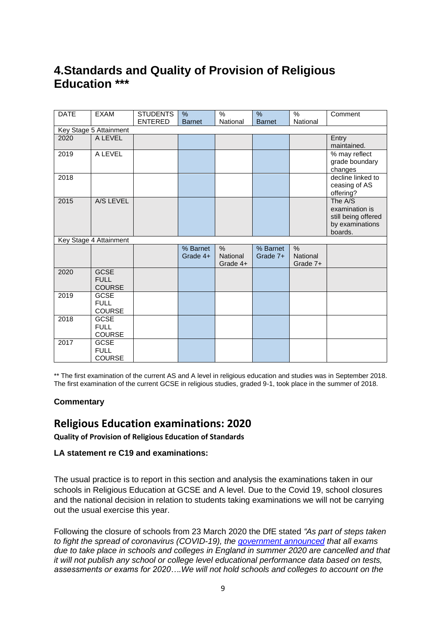## **4.Standards and Quality of Provision of Religious Education \*\*\***

| <b>DATE</b>            | <b>EXAM</b>                                 | <b>STUDENTS</b> | %             | $\%$                 | $\frac{9}{6}$ | $\%$                 | Comment                                                                        |  |  |
|------------------------|---------------------------------------------|-----------------|---------------|----------------------|---------------|----------------------|--------------------------------------------------------------------------------|--|--|
|                        |                                             | <b>ENTERED</b>  | <b>Barnet</b> | National             | <b>Barnet</b> | National             |                                                                                |  |  |
| Key Stage 5 Attainment |                                             |                 |               |                      |               |                      |                                                                                |  |  |
| 2020                   | A LEVEL                                     |                 |               |                      |               |                      | Entry                                                                          |  |  |
|                        |                                             |                 |               |                      |               |                      | maintained.                                                                    |  |  |
| 2019                   | A LEVEL                                     |                 |               |                      |               |                      | % may reflect<br>grade boundary<br>changes                                     |  |  |
| 2018                   |                                             |                 |               |                      |               |                      | decline linked to<br>ceasing of AS<br>offering?                                |  |  |
| 2015                   | A/S LEVEL                                   |                 |               |                      |               |                      | The A/S<br>examination is<br>still being offered<br>by examinations<br>boards. |  |  |
|                        | Key Stage 4 Attainment                      |                 |               |                      |               |                      |                                                                                |  |  |
|                        |                                             |                 | % Barnet      | $\%$                 | % Barnet      | $\%$                 |                                                                                |  |  |
|                        |                                             |                 | Grade 4+      | National<br>Grade 4+ | Grade 7+      | National<br>Grade 7+ |                                                                                |  |  |
| 2020                   | <b>GCSE</b><br><b>FULL</b><br><b>COURSE</b> |                 |               |                      |               |                      |                                                                                |  |  |
| 2019                   | <b>GCSE</b><br><b>FULL</b><br>COURSE        |                 |               |                      |               |                      |                                                                                |  |  |
| 2018                   | <b>GCSE</b><br><b>FULL</b><br>COURSE        |                 |               |                      |               |                      |                                                                                |  |  |
| 2017                   | <b>GCSE</b><br><b>FULL</b><br><b>COURSE</b> |                 |               |                      |               |                      |                                                                                |  |  |

\*\* The first examination of the current AS and A level in religious education and studies was in September 2018. The first examination of the current GCSE in religious studies, graded 9-1, took place in the summer of 2018.

#### **Commentary**

### **Religious Education examinations: 2020**

**Quality of Provision of Religious Education of Standards** 

#### **LA statement re C19 and examinations:**

The usual practice is to report in this section and analysis the examinations taken in our schools in Religious Education at GCSE and A level. Due to the Covid 19, school closures and the national decision in relation to students taking examinations we will not be carrying out the usual exercise this year.

Following the closure of schools from 23 March 2020 the DfE stated *"As part of steps taken to fight the spread of coronavirus (COVID-19), the [government](https://www.parliament.uk/business/publications/written-questions-answers-statements/written-statement/Commons/2020-03-23/HCWS176/) announced that all exams due to take place in schools and colleges in England in summer 2020 are cancelled and that it will not publish any school or college level educational performance data based on tests, assessments or exams for 2020….We will not hold schools and colleges to account on the*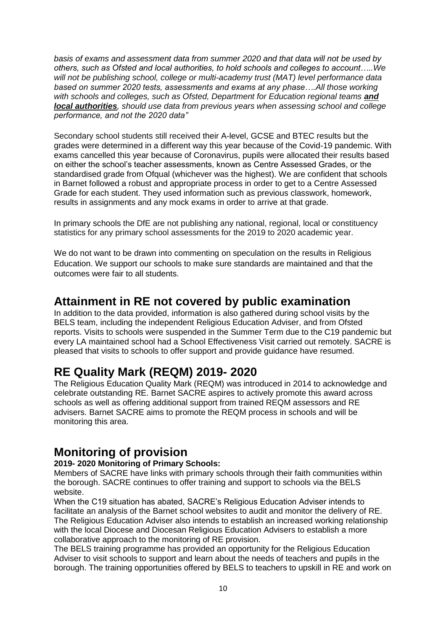*basis of exams and assessment data from summer 2020 and that data will not be used by others, such as Ofsted and local authorities, to hold schools and colleges to account…..We will not be publishing school, college or multi-academy trust (MAT) level performance data based on summer 2020 tests, assessments and exams at any phase….All those working*  with schools and colleges, such as Ofsted, Department for Education regional teams **and** *local authorities, should use data from previous years when assessing school and college performance, and not the 2020 data"*

Secondary school students still received their A-level, GCSE and BTEC results but the grades were determined in a different way this year because of the Covid-19 pandemic. With exams cancelled this year because of Coronavirus, pupils were allocated their results based on either the school's teacher assessments, known as Centre Assessed Grades, or the standardised grade from Ofqual (whichever was the highest). We are confident that schools in Barnet followed a robust and appropriate process in order to get to a Centre Assessed Grade for each student. They used information such as previous classwork, homework, results in assignments and any mock exams in order to arrive at that grade.

In primary schools the DfE are not publishing any national, regional, local or constituency statistics for any primary school assessments for the 2019 to 2020 academic year.

We do not want to be drawn into commenting on speculation on the results in Religious Education. We support our schools to make sure standards are maintained and that the outcomes were fair to all students.

## **Attainment in RE not covered by public examination**

In addition to the data provided, information is also gathered during school visits by the BELS team, including the independent Religious Education Adviser, and from Ofsted reports. Visits to schools were suspended in the Summer Term due to the C19 pandemic but every LA maintained school had a School Effectiveness Visit carried out remotely. SACRE is pleased that visits to schools to offer support and provide guidance have resumed.

## **RE Quality Mark (REQM) 2019- 2020**

The Religious Education Quality Mark (REQM) was introduced in 2014 to acknowledge and celebrate outstanding RE. Barnet SACRE aspires to actively promote this award across schools as well as offering additional support from trained REQM assessors and RE advisers. Barnet SACRE aims to promote the REQM process in schools and will be monitoring this area.

## **Monitoring of provision**

### **2019- 2020 Monitoring of Primary Schools:**

Members of SACRE have links with primary schools through their faith communities within the borough. SACRE continues to offer training and support to schools via the BELS website.

When the C19 situation has abated, SACRE's Religious Education Adviser intends to facilitate an analysis of the Barnet school websites to audit and monitor the delivery of RE. The Religious Education Adviser also intends to establish an increased working relationship with the local Diocese and Diocesan Religious Education Advisers to establish a more collaborative approach to the monitoring of RE provision.

The BELS training programme has provided an opportunity for the Religious Education Adviser to visit schools to support and learn about the needs of teachers and pupils in the borough. The training opportunities offered by BELS to teachers to upskill in RE and work on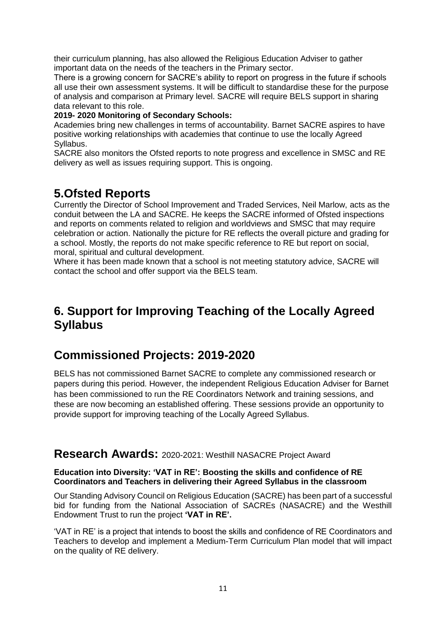their curriculum planning, has also allowed the Religious Education Adviser to gather important data on the needs of the teachers in the Primary sector.

There is a growing concern for SACRE's ability to report on progress in the future if schools all use their own assessment systems. It will be difficult to standardise these for the purpose of analysis and comparison at Primary level. SACRE will require BELS support in sharing data relevant to this role.

#### **2019- 2020 Monitoring of Secondary Schools:**

Academies bring new challenges in terms of accountability. Barnet SACRE aspires to have positive working relationships with academies that continue to use the locally Agreed Syllabus.

SACRE also monitors the Ofsted reports to note progress and excellence in SMSC and RE delivery as well as issues requiring support. This is ongoing.

## **5.Ofsted Reports**

Currently the Director of School Improvement and Traded Services, Neil Marlow, acts as the conduit between the LA and SACRE. He keeps the SACRE informed of Ofsted inspections and reports on comments related to religion and worldviews and SMSC that may require celebration or action. Nationally the picture for RE reflects the overall picture and grading for a school. Mostly, the reports do not make specific reference to RE but report on social, moral, spiritual and cultural development.

Where it has been made known that a school is not meeting statutory advice, SACRE will contact the school and offer support via the BELS team.

## **6. Support for Improving Teaching of the Locally Agreed Syllabus**

### **Commissioned Projects: 2019-2020**

BELS has not commissioned Barnet SACRE to complete any commissioned research or papers during this period. However, the independent Religious Education Adviser for Barnet has been commissioned to run the RE Coordinators Network and training sessions, and these are now becoming an established offering. These sessions provide an opportunity to provide support for improving teaching of the Locally Agreed Syllabus.

### **Research Awards:** 2020-2021: Westhill NASACRE Project Award

#### **Education into Diversity: 'VAT in RE': Boosting the skills and confidence of RE Coordinators and Teachers in delivering their Agreed Syllabus in the classroom**

Our Standing Advisory Council on Religious Education (SACRE) has been part of a successful bid for funding from the National Association of SACREs (NASACRE) and the Westhill Endowment Trust to run the project **'VAT in RE'.**

'VAT in RE' is a project that intends to boost the skills and confidence of RE Coordinators and Teachers to develop and implement a Medium-Term Curriculum Plan model that will impact on the quality of RE delivery.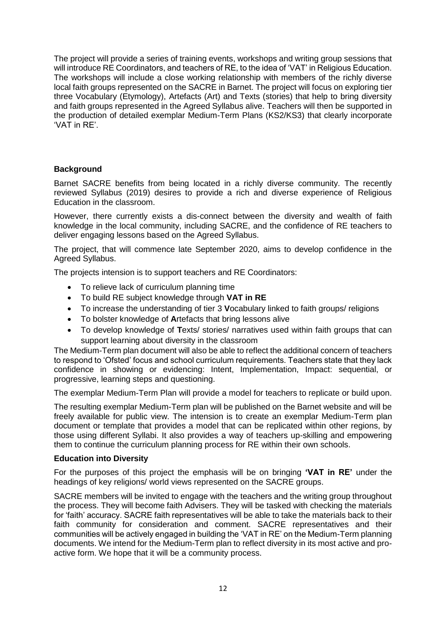The project will provide a series of training events, workshops and writing group sessions that will introduce RE Coordinators, and teachers of RE, to the idea of 'VAT' in Religious Education. The workshops will include a close working relationship with members of the richly diverse local faith groups represented on the SACRE in Barnet. The project will focus on exploring tier three Vocabulary (Etymology), Artefacts (Art) and Texts (stories) that help to bring diversity and faith groups represented in the Agreed Syllabus alive. Teachers will then be supported in the production of detailed exemplar Medium-Term Plans (KS2/KS3) that clearly incorporate 'VAT in RE'.

### **Background**

Barnet SACRE benefits from being located in a richly diverse community. The recently reviewed Syllabus (2019) desires to provide a rich and diverse experience of Religious Education in the classroom.

However, there currently exists a dis-connect between the diversity and wealth of faith knowledge in the local community, including SACRE, and the confidence of RE teachers to deliver engaging lessons based on the Agreed Syllabus.

The project, that will commence late September 2020, aims to develop confidence in the Agreed Syllabus.

The projects intension is to support teachers and RE Coordinators:

- To relieve lack of curriculum planning time
- To build RE subject knowledge through **VAT in RE**
- To increase the understanding of tier 3 **V**ocabulary linked to faith groups/ religions
- To bolster knowledge of **A**rtefacts that bring lessons alive
- To develop knowledge of **T**exts/ stories/ narratives used within faith groups that can support learning about diversity in the classroom

The Medium-Term plan document will also be able to reflect the additional concern of teachers to respond to 'Ofsted' focus and school curriculum requirements. Teachers state that they lack confidence in showing or evidencing: Intent, Implementation, Impact: sequential, or progressive, learning steps and questioning.

The exemplar Medium-Term Plan will provide a model for teachers to replicate or build upon.

The resulting exemplar Medium-Term plan will be published on the Barnet website and will be freely available for public view. The intension is to create an exemplar Medium-Term plan document or template that provides a model that can be replicated within other regions, by those using different Syllabi. It also provides a way of teachers up-skilling and empowering them to continue the curriculum planning process for RE within their own schools.

#### **Education into Diversity**

For the purposes of this project the emphasis will be on bringing **'VAT in RE'** under the headings of key religions/ world views represented on the SACRE groups.

SACRE members will be invited to engage with the teachers and the writing group throughout the process. They will become faith Advisers. They will be tasked with checking the materials for 'faith' accuracy. SACRE faith representatives will be able to take the materials back to their faith community for consideration and comment. SACRE representatives and their communities will be actively engaged in building the 'VAT in RE' on the Medium-Term planning documents. We intend for the Medium-Term plan to reflect diversity in its most active and proactive form. We hope that it will be a community process.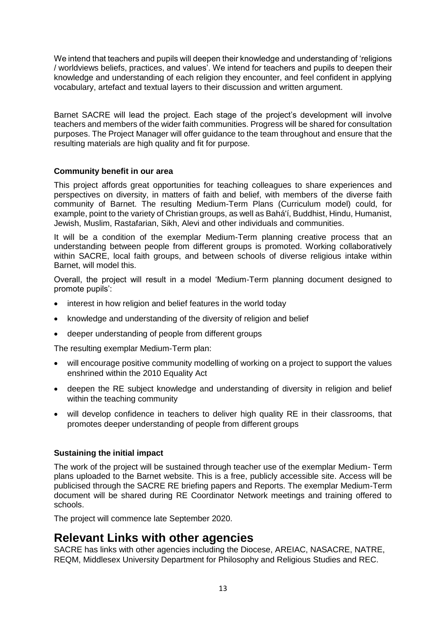We intend that teachers and pupils will deepen their knowledge and understanding of 'religions / worldviews beliefs, practices, and values'. We intend for teachers and pupils to deepen their knowledge and understanding of each religion they encounter, and feel confident in applying vocabulary, artefact and textual layers to their discussion and written argument.

Barnet SACRE will lead the project. Each stage of the project's development will involve teachers and members of the wider faith communities. Progress will be shared for consultation purposes. The Project Manager will offer guidance to the team throughout and ensure that the resulting materials are high quality and fit for purpose.

### **Community benefit in our area**

This project affords great opportunities for teaching colleagues to share experiences and perspectives on diversity, in matters of faith and belief, with members of the diverse faith community of Barnet. The resulting Medium-Term Plans (Curriculum model) could, for example, point to the variety of Christian groups, as well as Bahá'í, Buddhist, Hindu, Humanist, Jewish, Muslim, Rastafarian, Sikh, Alevi and other individuals and communities.

It will be a condition of the exemplar Medium-Term planning creative process that an understanding between people from different groups is promoted. Working collaboratively within SACRE, local faith groups, and between schools of diverse religious intake within Barnet, will model this.

Overall, the project will result in a model 'Medium-Term planning document designed to promote pupils':

- interest in how religion and belief features in the world today
- knowledge and understanding of the diversity of religion and belief
- deeper understanding of people from different groups

The resulting exemplar Medium-Term plan:

- will encourage positive community modelling of working on a project to support the values enshrined within the 2010 Equality Act
- deepen the RE subject knowledge and understanding of diversity in religion and belief within the teaching community
- will develop confidence in teachers to deliver high quality RE in their classrooms, that promotes deeper understanding of people from different groups

#### **Sustaining the initial impact**

The work of the project will be sustained through teacher use of the exemplar Medium- Term plans uploaded to the Barnet website. This is a free, publicly accessible site. Access will be publicised through the SACRE RE briefing papers and Reports. The exemplar Medium-Term document will be shared during RE Coordinator Network meetings and training offered to schools.

The project will commence late September 2020.

### **Relevant Links with other agencies**

SACRE has links with other agencies including the Diocese, AREIAC, NASACRE, NATRE, REQM, Middlesex University Department for Philosophy and Religious Studies and REC.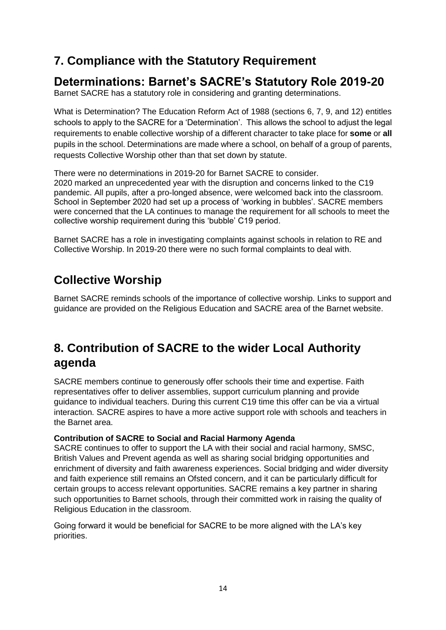## **7. Compliance with the Statutory Requirement**

## **Determinations: Barnet's SACRE's Statutory Role 2019-20**

Barnet SACRE has a statutory role in considering and granting determinations.

What is Determination? The Education Reform Act of 1988 (sections 6, 7, 9, and 12) entitles schools to apply to the SACRE for a 'Determination'. This allows the school to adjust the legal requirements to enable collective worship of a different character to take place for **some** or **all**  pupils in the school. Determinations are made where a school, on behalf of a group of parents, requests Collective Worship other than that set down by statute.

There were no determinations in 2019-20 for Barnet SACRE to consider.

2020 marked an unprecedented year with the disruption and concerns linked to the C19 pandemic. All pupils, after a pro-longed absence, were welcomed back into the classroom. School in September 2020 had set up a process of 'working in bubbles'. SACRE members were concerned that the LA continues to manage the requirement for all schools to meet the collective worship requirement during this 'bubble' C19 period.

Barnet SACRE has a role in investigating complaints against schools in relation to RE and Collective Worship. In 2019-20 there were no such formal complaints to deal with.

# **Collective Worship**

Barnet SACRE reminds schools of the importance of collective worship. Links to support and guidance are provided on the Religious Education and SACRE area of the Barnet website.

# **8. Contribution of SACRE to the wider Local Authority agenda**

SACRE members continue to generously offer schools their time and expertise. Faith representatives offer to deliver assemblies, support curriculum planning and provide guidance to individual teachers. During this current C19 time this offer can be via a virtual interaction. SACRE aspires to have a more active support role with schools and teachers in the Barnet area.

### **Contribution of SACRE to Social and Racial Harmony Agenda**

SACRE continues to offer to support the LA with their social and racial harmony, SMSC, British Values and Prevent agenda as well as sharing social bridging opportunities and enrichment of diversity and faith awareness experiences. Social bridging and wider diversity and faith experience still remains an Ofsted concern, and it can be particularly difficult for certain groups to access relevant opportunities. SACRE remains a key partner in sharing such opportunities to Barnet schools, through their committed work in raising the quality of Religious Education in the classroom.

Going forward it would be beneficial for SACRE to be more aligned with the LA's key priorities.